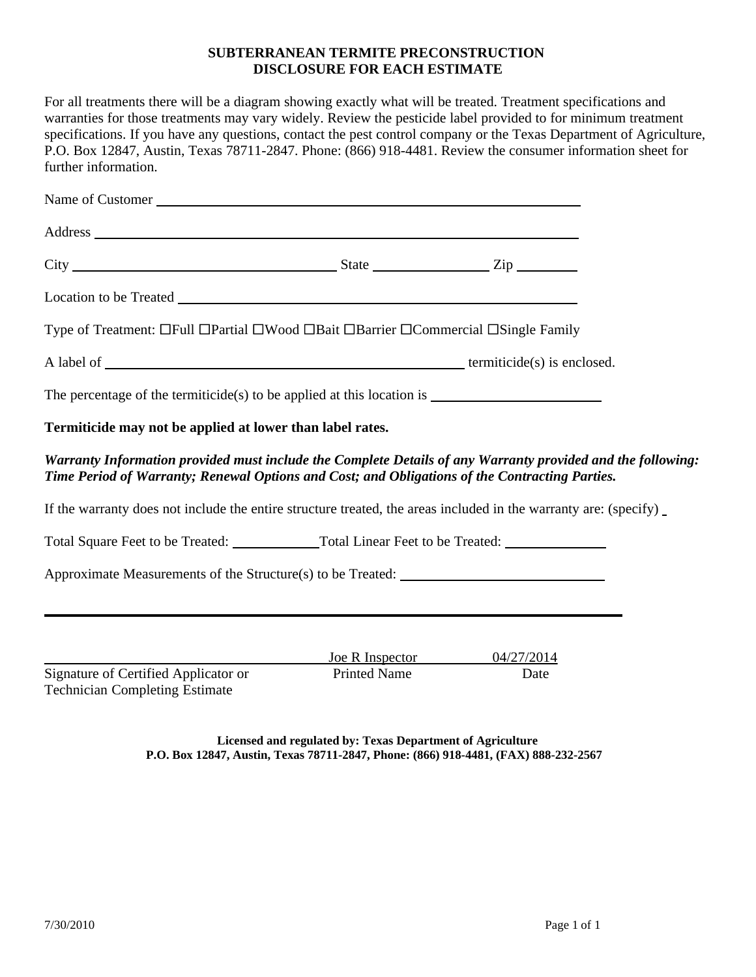# **SUBTERRANEAN TERMITE PRECONSTRUCTION DISCLOSURE FOR EACH ESTIMATE**

For all treatments there will be a diagram showing exactly what will be treated. Treatment specifications and warranties for those treatments may vary widely. Review the pesticide label provided to for minimum treatment specifications. If you have any questions, contact the pest control company or the Texas Department of Agriculture, P.O. Box 12847, Austin, Texas 78711-2847. Phone: (866) 918-4481. Review the consumer information sheet for further information.

| Name of Customer                                                                                                                                                                                                               |                                        |                                                                                                             |
|--------------------------------------------------------------------------------------------------------------------------------------------------------------------------------------------------------------------------------|----------------------------------------|-------------------------------------------------------------------------------------------------------------|
| Address and the contract of the contract of the contract of the contract of the contract of the contract of the contract of the contract of the contract of the contract of the contract of the contract of the contract of th |                                        |                                                                                                             |
|                                                                                                                                                                                                                                |                                        |                                                                                                             |
|                                                                                                                                                                                                                                |                                        |                                                                                                             |
| Type of Treatment: □Full □Partial □Wood □Bait □Barrier □Commercial □Single Family                                                                                                                                              |                                        |                                                                                                             |
|                                                                                                                                                                                                                                |                                        |                                                                                                             |
| The percentage of the termiticide(s) to be applied at this location is $\frac{1}{\sqrt{1-\frac{1}{n}}}\left  \int_{-\infty}^{\infty}$                                                                                          |                                        |                                                                                                             |
| Termiticide may not be applied at lower than label rates.                                                                                                                                                                      |                                        |                                                                                                             |
| Time Period of Warranty; Renewal Options and Cost; and Obligations of the Contracting Parties.                                                                                                                                 |                                        | Warranty Information provided must include the Complete Details of any Warranty provided and the following: |
| If the warranty does not include the entire structure treated, the areas included in the warranty are: (specify)                                                                                                               |                                        |                                                                                                             |
|                                                                                                                                                                                                                                |                                        |                                                                                                             |
| Approximate Measurements of the Structure(s) to be Treated: _____________________                                                                                                                                              |                                        |                                                                                                             |
|                                                                                                                                                                                                                                |                                        | ,我们也不会有什么。""我们的人,我们也不会有什么?""我们的人,我们也不会有什么?""我们的人,我们也不会有什么?""我们的人,我们也不会有什么?""我们的人                            |
|                                                                                                                                                                                                                                |                                        |                                                                                                             |
| Signature of Certified Applicator or<br><b>Technician Completing Estimate</b>                                                                                                                                                  | Joe R Inspector<br><b>Printed Name</b> | 04/27/2014<br>Date                                                                                          |

**Licensed and regulated by: Texas Department of Agriculture P.O. Box 12847, Austin, Texas 78711-2847, Phone: (866) 918-4481, (FAX) 888-232-2567**